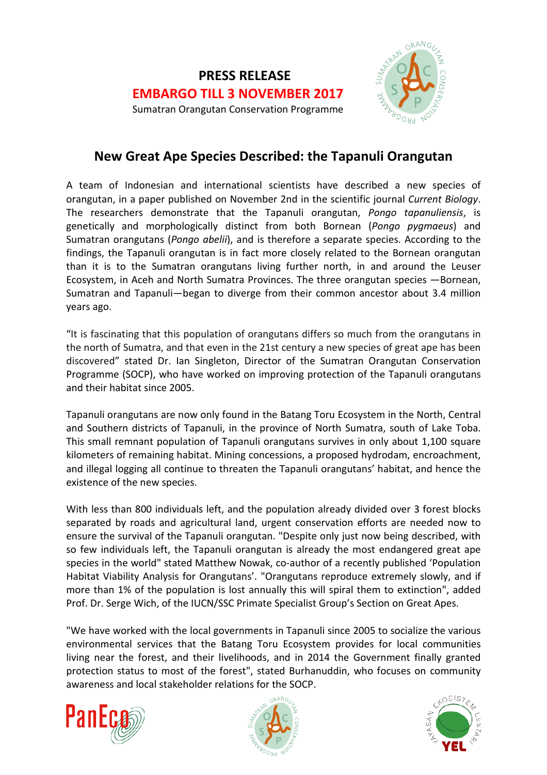

# **New Great Ape Species Described: the Tapanuli Orangutan**

A team of Indonesian and international scientists have described a new species of orangutan, in a paper published on November 2nd in the scientific journal *Current Biology*. The researchers demonstrate that the Tapanuli orangutan, *Pongo tapanuliensis*, is genetically and morphologically distinct from both Bornean (*Pongo pygmaeus*) and Sumatran orangutans (*Pongo abelii*), and is therefore a separate species. According to the findings, the Tapanuli orangutan is in fact more closely related to the Bornean orangutan than it is to the Sumatran orangutans living further north, in and around the Leuser Ecosystem, in Aceh and North Sumatra Provinces. The three orangutan species —Bornean, Sumatran and Tapanuli—began to diverge from their common ancestor about 3.4 million years ago.

"It is fascinating that this population of orangutans differs so much from the orangutans in the north of Sumatra, and that even in the 21st century a new species of great ape has been discovered" stated Dr. Ian Singleton, Director of the Sumatran Orangutan Conservation Programme (SOCP), who have worked on improving protection of the Tapanuli orangutans and their habitat since 2005.

Tapanuli orangutans are now only found in the Batang Toru Ecosystem in the North, Central and Southern districts of Tapanuli, in the province of North Sumatra, south of Lake Toba. This small remnant population of Tapanuli orangutans survives in only about 1,100 square kilometers of remaining habitat. Mining concessions, a proposed hydrodam, encroachment, and illegal logging all continue to threaten the Tapanuli orangutans' habitat, and hence the existence of the new species.

With less than 800 individuals left, and the population already divided over 3 forest blocks separated by roads and agricultural land, urgent conservation efforts are needed now to ensure the survival of the Tapanuli orangutan. "Despite only just now being described, with so few individuals left, the Tapanuli orangutan is already the most endangered great ape species in the world" stated Matthew Nowak, co-author of a recently published 'Population Habitat Viability Analysis for Orangutans'. "Orangutans reproduce extremely slowly, and if more than 1% of the population is lost annually this will spiral them to extinction", added Prof. Dr. Serge Wich, of the IUCN/SSC Primate Specialist Group's Section on Great Apes.

"We have worked with the local governments in Tapanuli since 2005 to socialize the various environmental services that the Batang Toru Ecosystem provides for local communities living near the forest, and their livelihoods, and in 2014 the Government finally granted protection status to most of the forest", stated Burhanuddin, who focuses on community awareness and local stakeholder relations for the SOCP.